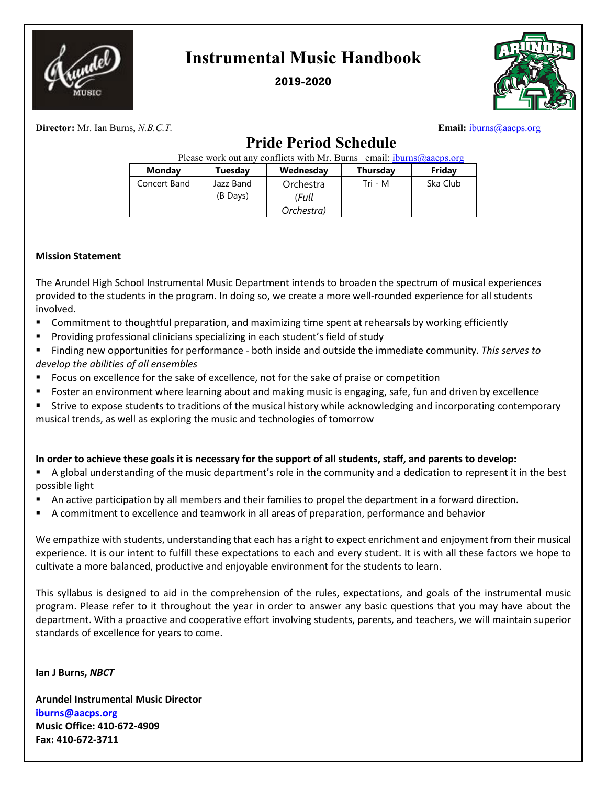

## **Instrumental Music Handbook**

**2019-2020**



**Director:** Mr. Ian Burns, *N.B.C.T.* **Email:** [iburns@aacps.org](mailto:iburns@aacps.org) **Email:** iburns@aacps.org

## **Pride Period Schedule**

| Please work out any conflicts with Mr. Burns email: $ibumps @aacos.org$ |                       |                    |          |          |  |  |  |  |
|-------------------------------------------------------------------------|-----------------------|--------------------|----------|----------|--|--|--|--|
| Monday                                                                  | Tuesday               | Wednesday          | Thursday | Friday   |  |  |  |  |
| Concert Band                                                            | Jazz Band<br>(B Days) | Orchestra<br>(Full | Tri - M  | Ska Club |  |  |  |  |
|                                                                         |                       | Orchestra)         |          |          |  |  |  |  |

#### **Mission Statement**

The Arundel High School Instrumental Music Department intends to broaden the spectrum of musical experiences provided to the students in the program. In doing so, we create a more well-rounded experience for all students involved.

- Commitment to thoughtful preparation, and maximizing time spent at rehearsals by working efficiently
- **Providing professional clinicians specializing in each student's field of study**

 Finding new opportunities for performance - both inside and outside the immediate community. *This serves to develop the abilities of all ensembles* 

- Focus on excellence for the sake of excellence, not for the sake of praise or competition
- **F** Foster an environment where learning about and making music is engaging, safe, fun and driven by excellence
- Strive to expose students to traditions of the musical history while acknowledging and incorporating contemporary musical trends, as well as exploring the music and technologies of tomorrow

### **In order to achieve these goals it is necessary for the support of all students, staff, and parents to develop:**

 A global understanding of the music department's role in the community and a dedication to represent it in the best possible light

- An active participation by all members and their families to propel the department in a forward direction.
- A commitment to excellence and teamwork in all areas of preparation, performance and behavior

We empathize with students, understanding that each has a right to expect enrichment and enjoyment from their musical experience. It is our intent to fulfill these expectations to each and every student. It is with all these factors we hope to cultivate a more balanced, productive and enjoyable environment for the students to learn.

This syllabus is designed to aid in the comprehension of the rules, expectations, and goals of the instrumental music program. Please refer to it throughout the year in order to answer any basic questions that you may have about the department. With a proactive and cooperative effort involving students, parents, and teachers, we will maintain superior standards of excellence for years to come.

**Ian J Burns,** *NBCT*

**Arundel Instrumental Music Director [iburns@aacps.org](mailto:iburns@aacps.org) Music Office: 410-672-4909 Fax: 410-672-3711**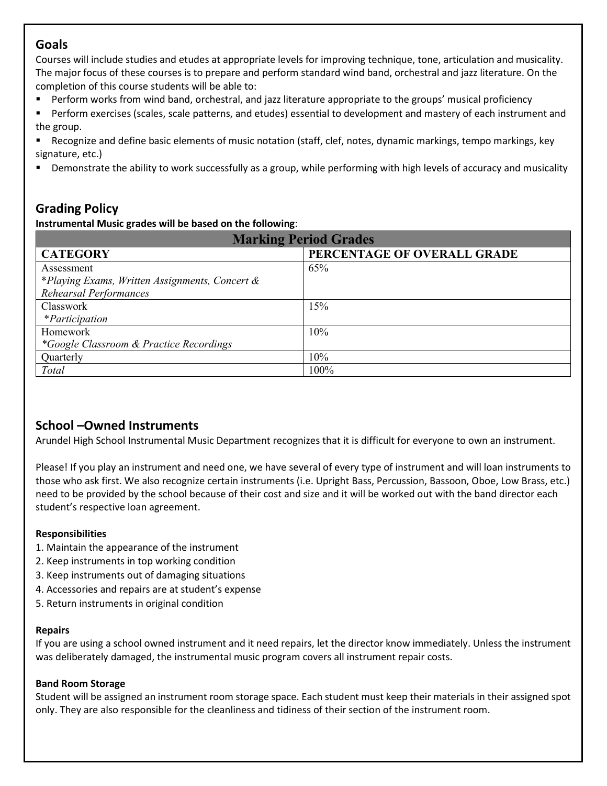### **Goals**

Courses will include studies and etudes at appropriate levels for improving technique, tone, articulation and musicality. The major focus of these courses is to prepare and perform standard wind band, orchestral and jazz literature. On the completion of this course students will be able to:

- Perform works from wind band, orchestral, and jazz literature appropriate to the groups' musical proficiency
- Perform exercises (scales, scale patterns, and etudes) essential to development and mastery of each instrument and the group.

 Recognize and define basic elements of music notation (staff, clef, notes, dynamic markings, tempo markings, key signature, etc.)

Demonstrate the ability to work successfully as a group, while performing with high levels of accuracy and musicality

## **Grading Policy**

**Instrumental Music grades will be based on the following**:

| <b>Marking Period Grades</b>                   |                             |  |  |  |  |  |
|------------------------------------------------|-----------------------------|--|--|--|--|--|
| <b>CATEGORY</b>                                | PERCENTAGE OF OVERALL GRADE |  |  |  |  |  |
| Assessment                                     | 65%                         |  |  |  |  |  |
| *Playing Exams, Written Assignments, Concert & |                             |  |  |  |  |  |
| Rehearsal Performances                         |                             |  |  |  |  |  |
| Classwork                                      | 15%                         |  |  |  |  |  |
| <i>*Participation</i>                          |                             |  |  |  |  |  |
| Homework                                       | 10%                         |  |  |  |  |  |
| *Google Classroom & Practice Recordings        |                             |  |  |  |  |  |
| Quarterly                                      | 10%                         |  |  |  |  |  |
| Total                                          | 100%                        |  |  |  |  |  |

## **School –Owned Instruments**

Arundel High School Instrumental Music Department recognizes that it is difficult for everyone to own an instrument.

Please! If you play an instrument and need one, we have several of every type of instrument and will loan instruments to those who ask first. We also recognize certain instruments (i.e. Upright Bass, Percussion, Bassoon, Oboe, Low Brass, etc.) need to be provided by the school because of their cost and size and it will be worked out with the band director each student's respective loan agreement.

### **Responsibilities**

- 1. Maintain the appearance of the instrument
- 2. Keep instruments in top working condition
- 3. Keep instruments out of damaging situations
- 4. Accessories and repairs are at student's expense
- 5. Return instruments in original condition

#### **Repairs**

If you are using a school owned instrument and it need repairs, let the director know immediately. Unless the instrument was deliberately damaged, the instrumental music program covers all instrument repair costs.

#### **Band Room Storage**

Student will be assigned an instrument room storage space. Each student must keep their materials in their assigned spot only. They are also responsible for the cleanliness and tidiness of their section of the instrument room.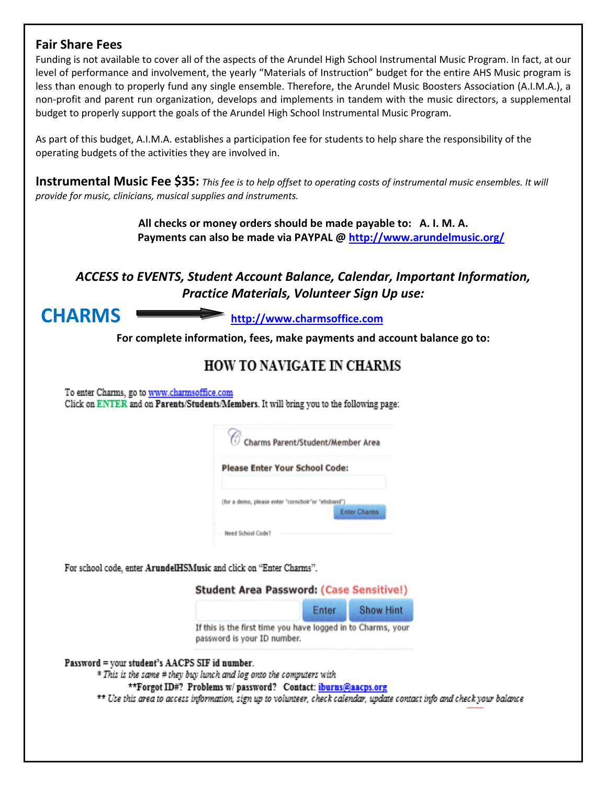### **Fair Share Fees**

Funding is not available to cover all of the aspects of the Arundel High School Instrumental Music Program. In fact, at our level of performance and involvement, the yearly "Materials of Instruction" budget for the entire AHS Music program is less than enough to properly fund any single ensemble. Therefore, the Arundel Music Boosters Association (A.I.M.A.), a non-profit and parent run organization, develops and implements in tandem with the music directors, a supplemental budget to properly support the goals of the Arundel High School Instrumental Music Program.

As part of this budget, A.I.M.A. establishes a participation fee for students to help share the responsibility of the operating budgets of the activities they are involved in.

**Instrumental Music Fee \$35:** *This fee is to help offset to operating costs of instrumental music ensembles. It will provide for music, clinicians, musical supplies and instruments.* 

> **All checks or money orders should be made payable to: A. I. M. A. Payments can also be made via PAYPAL @<http://www.arundelmusic.org/>**

## *ACCESS to EVENTS, Student Account Balance, Calendar, Important Information, Practice Materials, Volunteer Sign Up use:*

**CHARMS [http://www.charmsoffice.com](http://www.charmsoffice.com/)**

**For complete information, fees, make payments and account balance go to:**

## **HOW TO NAVIGATE IN CHARMS**

To enter Charms, go to www.charmsoffice.com Click on ENTER and on Parents/Students/Members. It will bring you to the following page:

|  |                                                    | Charms Parent/Student/Member Area |
|--|----------------------------------------------------|-----------------------------------|
|  | <b>Please Enter Your School Code:</b>              |                                   |
|  |                                                    |                                   |
|  | (for a demo, please enter "cornchoir"or "ehsband") |                                   |

For school code, enter ArundelHSMusic and click on "Enter Charms".

**Student Area Password: (Case Sensitive!)** 

|                                                  | Enter | <b>Show Hint</b> |  |
|--------------------------------------------------|-------|------------------|--|
| ia first tima vou hava loggad in to Charms, vour |       |                  |  |

If this is the first time you have logged in to Charms, your password is your ID number.

#### Password = your student's AACPS SIF id number.

\* This is the same # they buy lunch and log onto the computers with

\*\*Forgot ID#? Problems w/ password? Contact: iburns@aacps.org

\*\* Use this area to access information, sign up to volunteer, check calendar, update contact info and check your balance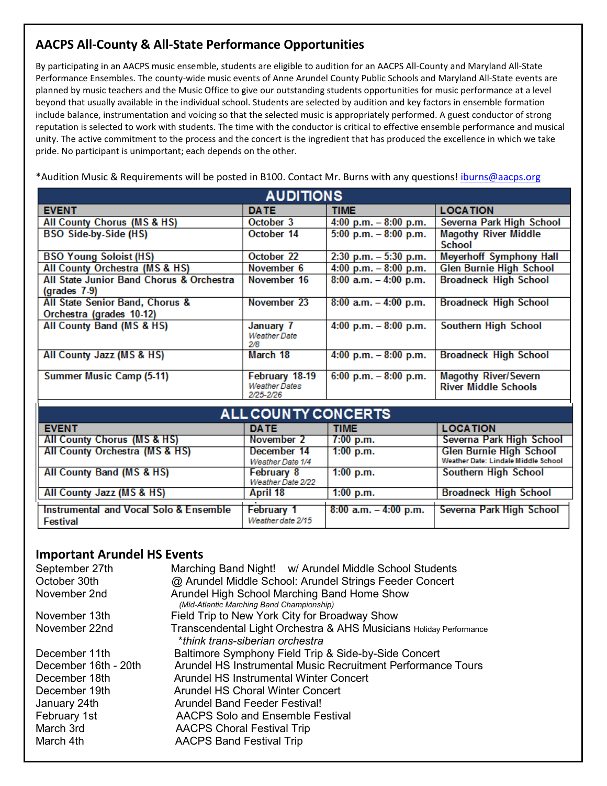### **AACPS All-County & All-State Performance Opportunities**

By participating in an AACPS music ensemble, students are eligible to audition for an AACPS All-County and Maryland All-State Performance Ensembles. The county-wide music events of Anne Arundel County Public Schools and Maryland All-State events are planned by music teachers and the Music Office to give our outstanding students opportunities for music performance at a level beyond that usually available in the individual school. Students are selected by audition and key factors in ensemble formation include balance, instrumentation and voicing so that the selected music is appropriately performed. A guest conductor of strong reputation is selected to work with students. The time with the conductor is critical to effective ensemble performance and musical unity. The active commitment to the process and the concert is the ingredient that has produced the excellence in which we take pride. No participant is unimportant; each depends on the other.

\*Audition Music & Requirements will be posted in B100. Contact Mr. Burns with any questions[! iburns@aacps.org](mailto:iburns@aacps.org)

| <b>AUDITIONS</b>                                                 |                                                     |                          |                                                            |  |  |  |  |
|------------------------------------------------------------------|-----------------------------------------------------|--------------------------|------------------------------------------------------------|--|--|--|--|
| <b>EVENT</b>                                                     | <b>DATE</b>                                         | <b>TIME</b>              | <b>LOCATION</b>                                            |  |  |  |  |
| All County Chorus (MS & HS)                                      | October 3                                           | 4:00 p.m. $-8:00$ p.m.   | Severna Park High School                                   |  |  |  |  |
| <b>BSO Side-by-Side (HS)</b>                                     | October 14                                          | $5:00$ p.m. $-8:00$ p.m. | <b>Magothy River Middle</b><br><b>School</b>               |  |  |  |  |
| <b>BSO Young Soloist (HS)</b>                                    | October 22                                          | $2:30$ p.m. $-5:30$ p.m. | <b>Meyerhoff Symphony Hall</b>                             |  |  |  |  |
| All County Orchestra (MS & HS)                                   | November 6                                          | 4:00 p.m. $-8:00$ p.m.   | <b>Glen Burnie High School</b>                             |  |  |  |  |
| All State Junior Band Chorus & Orchestra<br>$\left($ grades 7-9) | November 16                                         | $8:00$ a.m. $-4:00$ p.m. | <b>Broadneck High School</b>                               |  |  |  |  |
| All State Senior Band, Chorus &<br>Orchestra (grades 10-12)      | November 23                                         | $8:00$ a.m. $-4:00$ p.m. | <b>Broadneck High School</b>                               |  |  |  |  |
| All County Band (MS & HS)                                        | January 7<br><b>Weather Date</b><br>2/8             | 4:00 p.m. $-8:00$ p.m.   | Southern High School                                       |  |  |  |  |
| All County Jazz (MS & HS)                                        | March 18                                            | 4:00 p.m. $-8:00$ p.m.   | <b>Broadneck High School</b>                               |  |  |  |  |
| Summer Music Camp (5-11)                                         | February 18-19<br><b>Weather Dates</b><br>2/25-2/26 | $6:00$ p.m. $-8:00$ p.m. | <b>Magothy River/Severn</b><br><b>River Middle Schools</b> |  |  |  |  |
| ALL COUN TY CONCERTS                                             |                                                     |                          |                                                            |  |  |  |  |

| ALL COUNTT CONCERTS                                       |                                        |                          |                                                                       |  |  |  |  |  |  |
|-----------------------------------------------------------|----------------------------------------|--------------------------|-----------------------------------------------------------------------|--|--|--|--|--|--|
| <b>EVENT</b>                                              | <b>DATE</b>                            | <b>TIME</b>              | <b>LOCATION</b>                                                       |  |  |  |  |  |  |
| <b>All County Chorus (MS &amp; HS)</b>                    | November 2                             | 7:00 p.m.                | Severna Park High School                                              |  |  |  |  |  |  |
| All County Orchestra (MS & HS)                            | December 14<br>Weather Date 1/4        | $1:00$ p.m.              | <b>Glen Burnie High School</b><br>Weather Date: Lindale Middle School |  |  |  |  |  |  |
| All County Band (MS & HS)                                 | February 8<br>Weather Date 2/22        | $1:00$ p.m.              | <b>Southern High School</b>                                           |  |  |  |  |  |  |
| All County Jazz (MS & HS)                                 | April 18                               | $1:00$ p.m.              | <b>Broadneck High School</b>                                          |  |  |  |  |  |  |
| Instrumental and Vocal Solo & Ensemble<br><b>Festival</b> | <b>February 1</b><br>Weather date 2/15 | $8:00$ a.m. $-4:00$ p.m. | Severna Park High School                                              |  |  |  |  |  |  |

### **Important Arundel HS Events**

| September 27th<br>October 30th | Marching Band Night! w/ Arundel Middle School Students<br>@ Arundel Middle School: Arundel Strings Feeder Concert |
|--------------------------------|-------------------------------------------------------------------------------------------------------------------|
| November 2nd                   | Arundel High School Marching Band Home Show<br>(Mid-Atlantic Marching Band Championship)                          |
| November 13th                  | Field Trip to New York City for Broadway Show                                                                     |
| November 22nd                  | Transcendental Light Orchestra & AHS Musicians Holiday Performance<br>*think trans-siberian orchestra             |
| December 11th                  | Baltimore Symphony Field Trip & Side-by-Side Concert                                                              |
| December 16th - 20th           | Arundel HS Instrumental Music Recruitment Performance Tours                                                       |
| December 18th                  | Arundel HS Instrumental Winter Concert                                                                            |
| December 19th                  | <b>Arundel HS Choral Winter Concert</b>                                                                           |
| January 24th                   | Arundel Band Feeder Festival!                                                                                     |
| February 1st                   | <b>AACPS Solo and Ensemble Festival</b>                                                                           |
| March 3rd                      | <b>AACPS Choral Festival Trip</b>                                                                                 |
| March 4th                      | <b>AACPS Band Festival Trip</b>                                                                                   |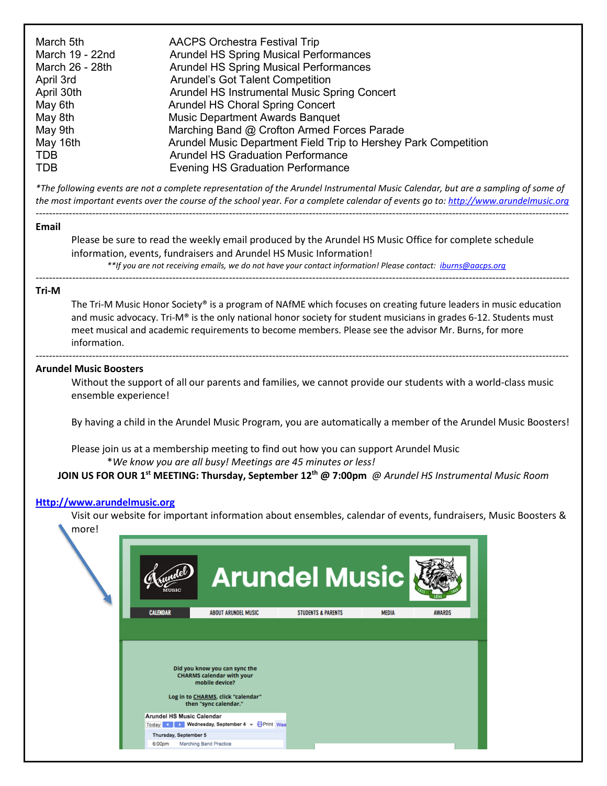*\*The following events are not a complete representation of the Arundel Instrumental Music Calendar, but are a sampling of some of the most important events over the course of the school year. For a complete calendar of events go to[: http://www.arundelmusic.org](http://www.arundelmusic.org/)* ----------------------------------------------------------------------------------------------------------------------------------------------------------------

#### **Email**

Please be sure to read the weekly email produced by the Arundel HS Music Office for complete schedule information, events, fundraisers and Arundel HS Music Information! *\*\*If you are not receiving emails, we do not have your contact information! Please contact: [iburns@aacps.org](mailto:iburns@aacps.org)*

## ----------------------------------------------------------------------------------------------------------------------------------------------------------------

#### **Tri-M**

The Tri-M Music Honor Society® is a program of NAfME which focuses on creating future leaders in music education and music advocacy. Tri-M® is the only national honor society for student musicians in grades 6-12. Students must meet musical and academic requirements to become members. Please see the advisor Mr. Burns, for more information.

#### **Arundel Music Boosters**

Without the support of all our parents and families, we cannot provide our students with a world-class music ensemble experience!

----------------------------------------------------------------------------------------------------------------------------------------------------------------

By having a child in the Arundel Music Program, you are automatically a member of the Arundel Music Boosters!

Please join us at a membership meeting to find out how you can support Arundel Music \**We know you are all busy! Meetings are 45 minutes or less!*

**JOIN US FOR OUR 1st MEETING: Thursday, September 12th @ 7:00pm** *@ Arundel HS Instrumental Music Room*

#### **[Http://www.arundelmusic.org](http://www.arundelmusic.org/)**

Visit our website for important information about ensembles, calendar of events, fundraisers, Music Boosters & more!

| MUSIC                            |                                                                               | <b>Arundel Music</b>          |              |               |
|----------------------------------|-------------------------------------------------------------------------------|-------------------------------|--------------|---------------|
| <b>CALENDAR</b>                  | <b>ABOUT ARUNDEL MUSIC</b>                                                    | <b>STUDENTS &amp; PARENTS</b> | <b>MEDIA</b> | <b>AWARDS</b> |
|                                  | Did you know you can sync the<br><b>CHARMS calendar with your</b>             |                               |              |               |
| <b>Arundel HS Music Calendar</b> | mobile device?<br>Log in to CHARMS, click "calendar"<br>then "sync calendar." |                               |              |               |
| Today 4<br>Thursday, September 5 | Wednesday, September 4 v & Print Wee                                          |                               |              |               |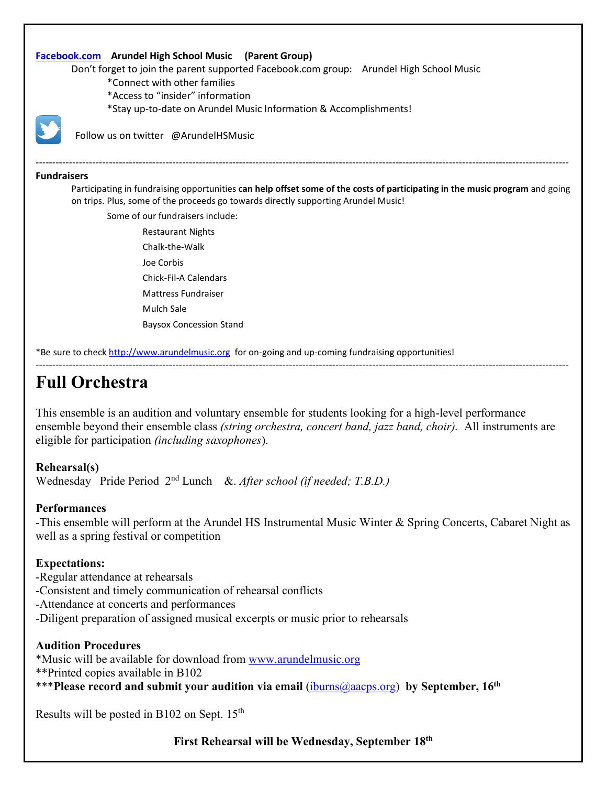#### **[Facebook.com](http://www.facebook.com/) Arundel High School Music (Parent Group)**

Don't forget to join the parent supported Facebook.com group: Arundel High School Music

- \*Connect with other families
- \*Access to "insider" information
- \*Stay up-to-date on Arundel Music Information & Accomplishments!



Follow us on twitter @ArundelHSMusic

#### **Fundraisers**

Participating in fundraising opportunities **can help offset some of the costs of participating in the music program** and going on trips. Plus, some of the proceeds go towards directly supporting Arundel Music!

----------------------------------------------------------------------------------------------------------------------------------------------------------------

Some of our fundraisers include:

Restaurant Nights Chalk-the-Walk Joe Corbis Chick-Fil-A Calendars Mattress Fundraiser Mulch Sale Baysox Concession Stand

\*Be sure to check [http://www.arundelmusic.org](http://www.arundelmusic.org/) for on-going and up-coming fundraising opportunities!

## **Full Orchestra**

This ensemble is an audition and voluntary ensemble for students looking for a high-level performance ensemble beyond their ensemble class *(string orchestra, concert band, jazz band, choir).* All instruments are eligible for participation *(including saxophones*).

----------------------------------------------------------------------------------------------------------------------------------------------------------------

#### **Rehearsal(s)**

Wednesday Pride Period 2nd Lunch &. *After school (if needed; T.B.D.)*

#### **Performances**

-This ensemble will perform at the Arundel HS Instrumental Music Winter & Spring Concerts, Cabaret Night as well as a spring festival or competition

#### **Expectations:**

- -Regular attendance at rehearsals
- -Consistent and timely communication of rehearsal conflicts
- -Attendance at concerts and performances
- -Diligent preparation of assigned musical excerpts or music prior to rehearsals

#### **Audition Procedures**

\*Music will be available for download from [www.arundelmusic.org](http://www.arundelmusic.org/) \*\*Printed copies available in B102

\*\*\***Please record and submit your audition via email** [\(iburns@aacps.org\)](mailto:iburns@aacps.org) **by September, 16th**

Results will be posted in B102 on Sept. 15<sup>th</sup>

**First Rehearsal will be Wednesday, September 18th**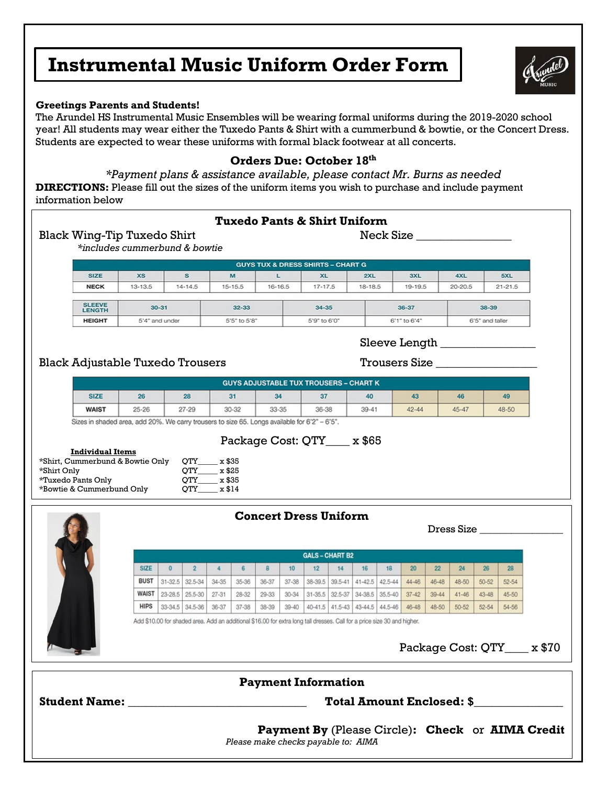## **Instrumental Music Uniform Order Form**

#### **Greetings Parents and Students!**

The Arundel HS Instrumental Music Ensembles will be wearing formal uniforms during the 2019-2020 school year! All students may wear either the Tuxedo Pants & Shirt with a cummerbund & bowtie, or the Concert Dress. Students are expected to wear these uniforms with formal black footwear at all concerts.

#### **Orders Due: October 18th**

*\*Payment plans & assistance available, please contact Mr. Burns as needed* **DIRECTIONS:** Please fill out the sizes of the uniform items you wish to purchase and include payment information below

| <b>Tuxedo Pants &amp; Shirt Uniform</b><br>Neck Size                                 |                                                                                               |                                                |              |                 |                  |                                                                                                                          |           |             |                              |    |                                 |              |           |           |                 |           |                      |                              |
|--------------------------------------------------------------------------------------|-----------------------------------------------------------------------------------------------|------------------------------------------------|--------------|-----------------|------------------|--------------------------------------------------------------------------------------------------------------------------|-----------|-------------|------------------------------|----|---------------------------------|--------------|-----------|-----------|-----------------|-----------|----------------------|------------------------------|
| <b>Black Wing-Tip Tuxedo Shirt</b><br>*includes cummerbund & bowtie                  |                                                                                               |                                                |              |                 |                  |                                                                                                                          |           |             |                              |    |                                 |              |           |           |                 |           |                      |                              |
| <b>GUYS TUX &amp; DRESS SHIRTS - CHART G</b>                                         |                                                                                               |                                                |              |                 |                  |                                                                                                                          |           |             |                              |    |                                 |              |           |           |                 |           |                      |                              |
|                                                                                      | <b>SIZE</b>                                                                                   | <b>XS</b>                                      |              | s               |                  | M                                                                                                                        |           | L           | <b>XL</b>                    |    | 2XL                             |              | 3XL       |           | 4XL             |           | 5XL                  |                              |
|                                                                                      | <b>NECK</b>                                                                                   | $13 - 13.5$                                    |              | $14 - 14.5$     |                  | $15 - 15.5$                                                                                                              |           | $16 - 16.5$ | $17 - 17.5$                  |    | 18-18.5                         |              | 19-19.5   |           | $20 - 20.5$     |           | $21 - 21.5$          |                              |
|                                                                                      | <b>SLEEVE</b><br>$30 - 31$<br>32-33<br>34-35<br>36-37<br>38-39<br><b>LENGTH</b>               |                                                |              |                 |                  |                                                                                                                          |           |             |                              |    |                                 |              |           |           |                 |           |                      |                              |
|                                                                                      | <b>HEIGHT</b>                                                                                 | 5'4" and under<br>5'5" to 5'8"<br>5'9" to 6'0" |              |                 |                  |                                                                                                                          |           |             |                              |    |                                 | 6'1" to 6'4" |           |           | 6'5" and taller |           |                      |                              |
|                                                                                      |                                                                                               |                                                |              |                 |                  |                                                                                                                          |           |             |                              |    |                                 |              |           |           |                 |           |                      |                              |
|                                                                                      | <b>Black Adjustable Tuxedo Trousers</b>                                                       |                                                |              |                 |                  |                                                                                                                          |           |             |                              |    |                                 |              |           |           |                 |           | <b>Trousers Size</b> |                              |
|                                                                                      |                                                                                               |                                                |              |                 |                  | <b>GUYS ADJUSTABLE TUX TROUSERS - CHART K</b>                                                                            |           |             |                              |    |                                 |              |           |           |                 |           |                      |                              |
|                                                                                      | <b>SIZE</b>                                                                                   | 26                                             |              | 28              |                  | 31                                                                                                                       |           | 34          | 37                           |    | 40                              |              | 43        |           | 46              |           | 49                   |                              |
|                                                                                      | <b>WAIST</b>                                                                                  | $25 - 26$                                      |              | $27 - 29$       |                  | 30-32                                                                                                                    |           | $33 - 35$   | $36 - 38$                    |    | $39 - 41$                       |              | $42 - 44$ |           | $45 - 47$       |           | 48-50                |                              |
|                                                                                      | Sizes in shaded area, add 20%. We carry trousers to size 65. Longs available for 6'2" - 6'5". |                                                |              |                 |                  |                                                                                                                          |           |             |                              |    |                                 |              |           |           |                 |           |                      |                              |
|                                                                                      | *Tuxedo Pants Only<br>*Bowtie & Cummerbund Only                                               |                                                |              | OTY<br>OTY      | x \$35<br>x \$14 |                                                                                                                          |           |             | <b>Concert Dress Uniform</b> |    |                                 |              |           |           |                 |           |                      |                              |
|                                                                                      |                                                                                               |                                                |              |                 |                  |                                                                                                                          |           |             |                              |    |                                 |              |           |           |                 |           | Dress Size           |                              |
|                                                                                      |                                                                                               |                                                |              |                 |                  |                                                                                                                          |           |             | <b>GALS - CHART B2</b>       |    |                                 |              |           |           |                 |           |                      |                              |
|                                                                                      |                                                                                               | <b>SIZE</b>                                    | $\mathbf{0}$ | $\overline{2}$  | 4                | 6                                                                                                                        | 8         | 10          | 12                           | 14 | 16                              | 18           | 20        | 22        | 24              | 26        | 28                   |                              |
|                                                                                      |                                                                                               | <b>BUST</b>                                    |              | 31-32.5 32.5-34 | 34-35            | $35 - 36$                                                                                                                | 36-37     | $37 - 38$   | 38-39.5                      |    | 39.5-41 41-42.5                 | 42.5-44      | 44-46     | 46-48     | 48-50           | $50 - 52$ | $52 - 54$            |                              |
|                                                                                      |                                                                                               | <b>WAIST</b>                                   | $23 - 28.5$  | $25.5 - 30$     | $27 - 31$        | $28 - 32$                                                                                                                | $29 - 33$ | $30 - 34$   | $31 - 35.5$                  |    | 32.5-37 34-38.5 35.5-40         |              | $37 - 42$ | $39 - 44$ | $41 - 46$       | $43 - 48$ | $45 - 50$            |                              |
|                                                                                      |                                                                                               | <b>HIPS</b>                                    | 33-34.5      | 34.5-36         | 36-37            | 37-38                                                                                                                    | 38-39     | $39 - 40$   |                              |    | 40-41.5 41.5-43 43-44.5 44.5-46 |              | $46 - 48$ | 48-50     | $50 - 52$       | $52 - 54$ | 54-56                |                              |
|                                                                                      |                                                                                               |                                                |              |                 |                  | Add \$10.00 for shaded area. Add an additional \$16.00 for extra long tall dresses. Call for a price size 30 and higher. |           |             |                              |    |                                 |              |           |           |                 |           |                      |                              |
|                                                                                      |                                                                                               |                                                |              |                 |                  |                                                                                                                          |           |             |                              |    |                                 |              |           |           |                 |           |                      | Package Cost: QTY____ x \$70 |
|                                                                                      |                                                                                               |                                                |              |                 |                  |                                                                                                                          |           |             | <b>Payment Information</b>   |    |                                 |              |           |           |                 |           |                      |                              |
|                                                                                      |                                                                                               |                                                |              |                 |                  |                                                                                                                          |           |             |                              |    |                                 |              |           |           |                 |           |                      |                              |
| <b>Total Amount Enclosed: \$</b><br>Payment By (Please Circle): Check or AIMA Credit |                                                                                               |                                                |              |                 |                  |                                                                                                                          |           |             |                              |    |                                 |              |           |           |                 |           |                      |                              |
|                                                                                      |                                                                                               |                                                |              |                 |                  | Please make checks payable to: AIMA                                                                                      |           |             |                              |    |                                 |              |           |           |                 |           |                      |                              |